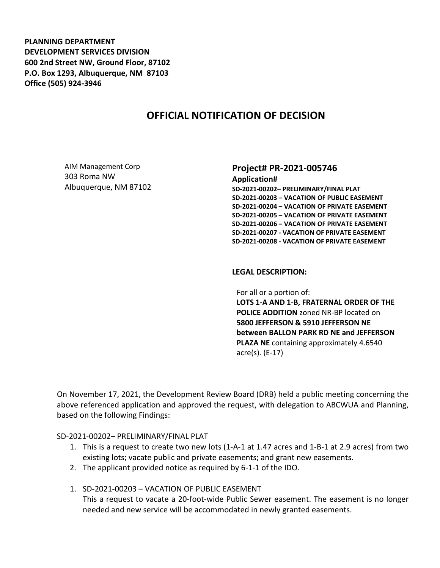**PLANNING DEPARTMENT DEVELOPMENT SERVICES DIVISION 600 2nd Street NW, Ground Floor, 87102 P.O. Box 1293, Albuquerque, NM 87103 Office (505) 924-3946** 

## **OFFICIAL NOTIFICATION OF DECISION**

AIM Management Corp 303 Roma NW Albuquerque, NM 87102

## **Project# PR-2021-005746**

**Application# SD-2021-00202– PRELIMINARY/FINAL PLAT SD-2021-00203 – VACATION OF PUBLIC EASEMENT SD-2021-00204 – VACATION OF PRIVATE EASEMENT SD-2021-00205 – VACATION OF PRIVATE EASEMENT SD-2021-00206 – VACATION OF PRIVATE EASEMENT SD-2021-00207 - VACATION OF PRIVATE EASEMENT SD-2021-00208 - VACATION OF PRIVATE EASEMENT**

## **LEGAL DESCRIPTION:**

For all or a portion of: **LOTS 1-A AND 1-B, FRATERNAL ORDER OF THE POLICE ADDITION** zoned NR-BP located on **5800 JEFFERSON & 5910 JEFFERSON NE between BALLON PARK RD NE and JEFFERSON PLAZA NE** containing approximately 4.6540 acre(s). (E-17)

On November 17, 2021, the Development Review Board (DRB) held a public meeting concerning the above referenced application and approved the request, with delegation to ABCWUA and Planning, based on the following Findings:

SD-2021-00202– PRELIMINARY/FINAL PLAT

- 1. This is a request to create two new lots (1-A-1 at 1.47 acres and 1-B-1 at 2.9 acres) from two existing lots; vacate public and private easements; and grant new easements.
- 2. The applicant provided notice as required by 6-1-1 of the IDO.
- 1. SD-2021-00203 VACATION OF PUBLIC EASEMENT This a request to vacate a 20-foot-wide Public Sewer easement. The easement is no longer needed and new service will be accommodated in newly granted easements.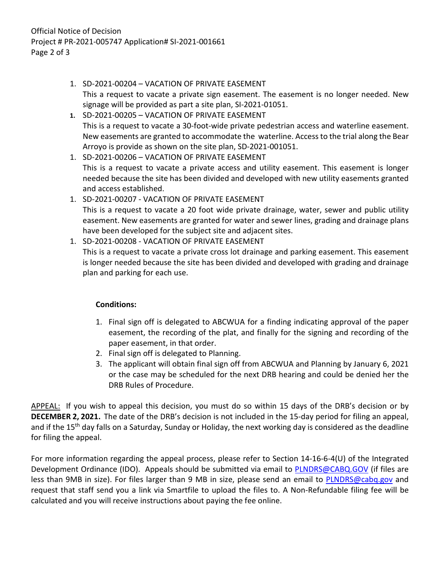- 1. SD-2021-00204 VACATION OF PRIVATE EASEMENT This a request to vacate a private sign easement. The easement is no longer needed. New signage will be provided as part a site plan, SI-2021-01051.
- **1.** SD-2021-00205 VACATION OF PRIVATE EASEMENT This is a request to vacate a 30-foot-wide private pedestrian access and waterline easement. New easements are granted to accommodate the waterline. Access to the trial along the Bear Arroyo is provide as shown on the site plan, SD-2021-001051.
- 1. SD-2021-00206 VACATION OF PRIVATE EASEMENT This is a request to vacate a private access and utility easement. This easement is longer needed because the site has been divided and developed with new utility easements granted and access established.
- 1. SD-2021-00207 VACATION OF PRIVATE EASEMENT This is a request to vacate a 20 foot wide private drainage, water, sewer and public utility easement. New easements are granted for water and sewer lines, grading and drainage plans have been developed for the subject site and adjacent sites.
- 1. SD-2021-00208 VACATION OF PRIVATE EASEMENT This is a request to vacate a private cross lot drainage and parking easement. This easement is longer needed because the site has been divided and developed with grading and drainage plan and parking for each use.

## **Conditions:**

- 1. Final sign off is delegated to ABCWUA for a finding indicating approval of the paper easement, the recording of the plat, and finally for the signing and recording of the paper easement, in that order.
- 2. Final sign off is delegated to Planning.
- 3. The applicant will obtain final sign off from ABCWUA and Planning by January 6, 2021 or the case may be scheduled for the next DRB hearing and could be denied her the DRB Rules of Procedure.

APPEAL: If you wish to appeal this decision, you must do so within 15 days of the DRB's decision or by **DECEMBER 2, 2021.** The date of the DRB's decision is not included in the 15-day period for filing an appeal, and if the 15<sup>th</sup> day falls on a Saturday, Sunday or Holiday, the next working day is considered as the deadline for filing the appeal.

For more information regarding the appeal process, please refer to Section 14-16-6-4(U) of the Integrated Development Ordinance (IDO). Appeals should be submitted via email to **PLNDRS@CABQ.GOV** (if files are less than 9MB in size). For files larger than 9 MB in size, please send an email to **PLNDRS@cabq.gov** and request that staff send you a link via Smartfile to upload the files to. A Non-Refundable filing fee will be calculated and you will receive instructions about paying the fee online.